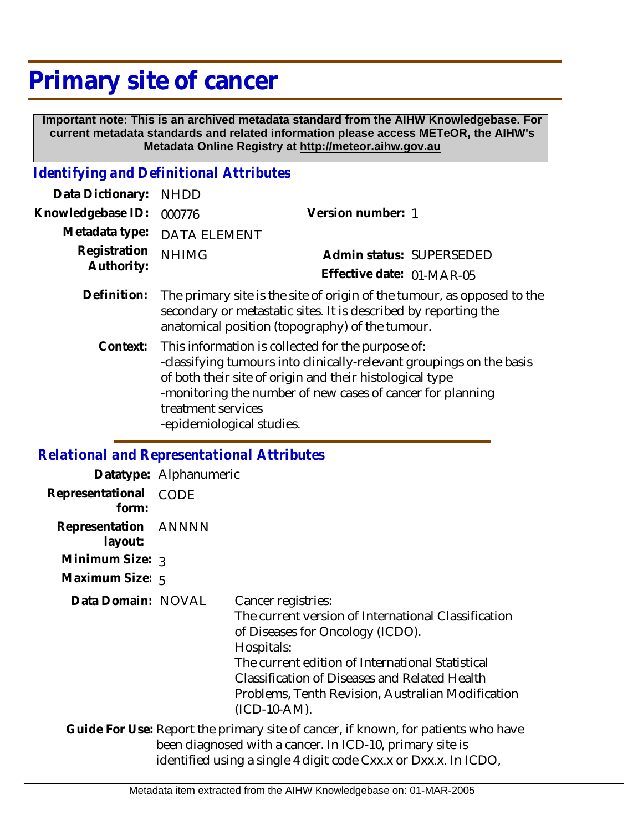## **Primary site of cancer**

 **Important note: This is an archived metadata standard from the AIHW Knowledgebase. For current metadata standards and related information please access METeOR, the AIHW's Metadata Online Registry at http://meteor.aihw.gov.au**

## *Identifying and Definitional Attributes*

| <b>NHDD</b>         |                                                                                                                                                                                                                                                     |
|---------------------|-----------------------------------------------------------------------------------------------------------------------------------------------------------------------------------------------------------------------------------------------------|
| 000776              | Version number: 1                                                                                                                                                                                                                                   |
| <b>DATA ELEMENT</b> |                                                                                                                                                                                                                                                     |
| <b>NHIMG</b>        | Admin status: SUPERSEDED                                                                                                                                                                                                                            |
|                     | Effective date: 01-MAR-05                                                                                                                                                                                                                           |
|                     | The primary site is the site of origin of the tumour, as opposed to the<br>secondary or metastatic sites. It is described by reporting the<br>anatomical position (topography) of the tumour.                                                       |
| treatment services  | This information is collected for the purpose of:<br>-classifying tumours into clinically-relevant groupings on the basis<br>of both their site of origin and their histological type<br>-monitoring the number of new cases of cancer for planning |
|                     | -epidemiological studies.                                                                                                                                                                                                                           |

*Relational and Representational Attributes*

|                                 | Datatype: Alphanumeric |                                                                                                                                                                                                                                                                                                       |
|---------------------------------|------------------------|-------------------------------------------------------------------------------------------------------------------------------------------------------------------------------------------------------------------------------------------------------------------------------------------------------|
| Representational<br>form:       | <b>CODE</b>            |                                                                                                                                                                                                                                                                                                       |
| Representation ANNNN<br>layout: |                        |                                                                                                                                                                                                                                                                                                       |
| Minimum Size: $_3$              |                        |                                                                                                                                                                                                                                                                                                       |
| Maximum Size: 5                 |                        |                                                                                                                                                                                                                                                                                                       |
| Data Domain: NOVAL              |                        | Cancer registries:<br>The current version of International Classification<br>of Diseases for Oncology (ICDO).<br>Hospitals:<br>The current edition of International Statistical<br>Classification of Diseases and Related Health<br>Problems, Tenth Revision, Australian Modification<br>(ICD-10-AM). |
|                                 |                        | Guide For Use: Report the primary site of cancer, if known, for patients who have<br>been diagnosed with a cancer. In ICD-10, primary site is<br>identified using a single 4 digit code Cxx.x or Dxx.x. In ICDO,                                                                                      |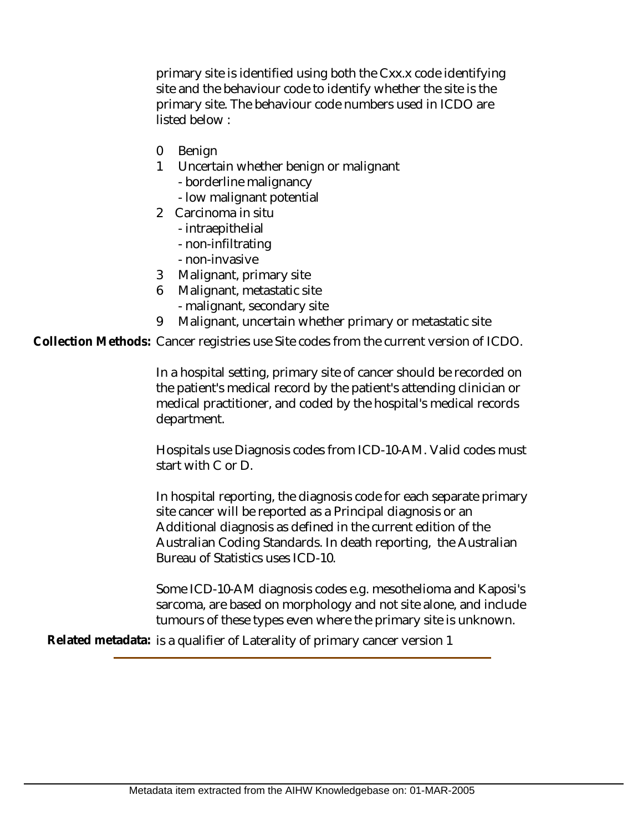primary site is identified using both the Cxx.x code identifying site and the behaviour code to identify whether the site is the primary site. The behaviour code numbers used in ICDO are listed below :

- 0 Benign
- 1 Uncertain whether benign or malignant
	- borderline malignancy
	- low malignant potential
- 2 Carcinoma in situ
	- intraepithelial
	- non-infiltrating
	- non-invasive
- 3 Malignant, primary site
- 6 Malignant, metastatic site
	- malignant, secondary site
- 9 Malignant, uncertain whether primary or metastatic site

Collection Methods: Cancer registries use Site codes from the current version of ICDO.

In a hospital setting, primary site of cancer should be recorded on the patient's medical record by the patient's attending clinician or medical practitioner, and coded by the hospital's medical records department.

Hospitals use Diagnosis codes from ICD-10-AM. Valid codes must start with C or D.

In hospital reporting, the diagnosis code for each separate primary site cancer will be reported as a Principal diagnosis or an Additional diagnosis as defined in the current edition of the Australian Coding Standards. In death reporting, the Australian Bureau of Statistics uses ICD-10.

Some ICD-10-AM diagnosis codes e.g. mesothelioma and Kaposi's sarcoma, are based on morphology and not site alone, and include tumours of these types even where the primary site is unknown.

**Related metadata:** is a qualifier of Laterality of primary cancer version 1